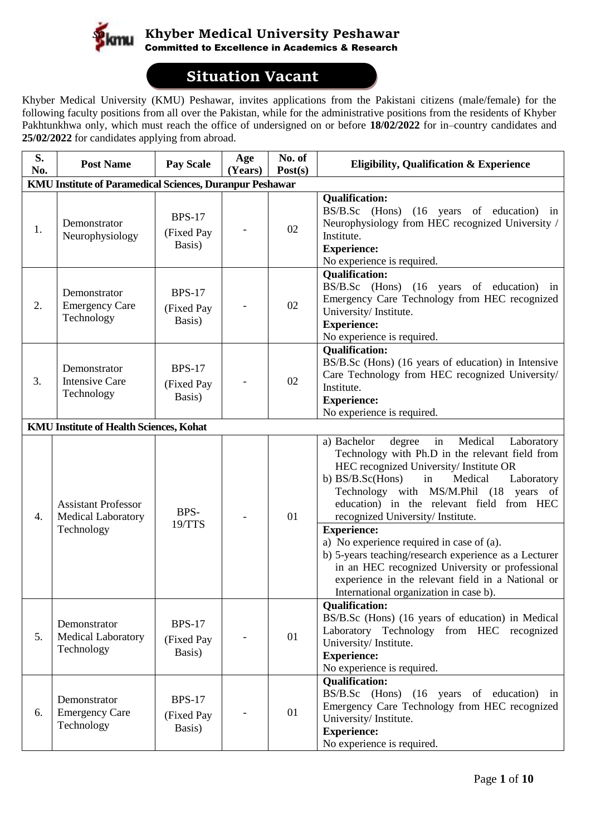

## *so* **Khyber Medical University Peshawar**

Committed to Excellence in Academics & Research

## **Situation Vacant**

Khyber Medical University (KMU) Peshawar, invites applications from the Pakistani citizens (male/female) for the following faculty positions from all over the Pakistan, while for the administrative positions from the residents of Khyber Pakhtunkhwa only, which must reach the office of undersigned on or before **18/02/2022** for in–country candidates and **25/02/2022** for candidates applying from abroad.

| S.<br>No. | <b>Post Name</b>                                                | <b>Pay Scale</b>                      | Age<br>(Years) | No. of<br>Post(s) | <b>Eligibility, Qualification &amp; Experience</b>                                                                                                                                                                                                                                                                                                                                                                                                                                                                                                                      |  |  |  |
|-----------|-----------------------------------------------------------------|---------------------------------------|----------------|-------------------|-------------------------------------------------------------------------------------------------------------------------------------------------------------------------------------------------------------------------------------------------------------------------------------------------------------------------------------------------------------------------------------------------------------------------------------------------------------------------------------------------------------------------------------------------------------------------|--|--|--|
|           | <b>KMU Institute of Paramedical Sciences, Duranpur Peshawar</b> |                                       |                |                   |                                                                                                                                                                                                                                                                                                                                                                                                                                                                                                                                                                         |  |  |  |
| 1.        | Demonstrator<br>Neurophysiology                                 | <b>BPS-17</b><br>(Fixed Pay<br>Basis) |                | 02                | <b>Qualification:</b><br>BS/B.Sc (Hons) (16 years of education) in<br>Neurophysiology from HEC recognized University /<br>Institute.<br><b>Experience:</b><br>No experience is required.                                                                                                                                                                                                                                                                                                                                                                                |  |  |  |
| 2.        | Demonstrator<br><b>Emergency Care</b><br>Technology             | <b>BPS-17</b><br>(Fixed Pay<br>Basis) |                | 02                | <b>Qualification:</b><br>BS/B.Sc (Hons) (16 years of education) in<br>Emergency Care Technology from HEC recognized<br>University/Institute.<br><b>Experience:</b><br>No experience is required.                                                                                                                                                                                                                                                                                                                                                                        |  |  |  |
| 3.        | Demonstrator<br><b>Intensive Care</b><br>Technology             | <b>BPS-17</b><br>(Fixed Pay<br>Basis) |                | 02                | <b>Qualification:</b><br>BS/B.Sc (Hons) (16 years of education) in Intensive<br>Care Technology from HEC recognized University/<br>Institute.<br><b>Experience:</b><br>No experience is required.                                                                                                                                                                                                                                                                                                                                                                       |  |  |  |
|           | <b>KMU Institute of Health Sciences, Kohat</b>                  |                                       |                |                   |                                                                                                                                                                                                                                                                                                                                                                                                                                                                                                                                                                         |  |  |  |
| 4.        | <b>Assistant Professor</b><br>Medical Laboratory<br>Technology  | BPS-<br>19/TTS                        |                | 01                | Medical<br>a) Bachelor<br>in<br>Laboratory<br>degree<br>Technology with Ph.D in the relevant field from<br>HEC recognized University/ Institute OR<br>b) $BS/B.Sc(Hons)$<br>Medical<br>in<br>Laboratory<br>Technology with MS/M.Phil (18 years of<br>education) in the relevant field from HEC<br>recognized University/ Institute.<br><b>Experience:</b><br>a) No experience required in case of (a).<br>b) 5-years teaching/research experience as a Lecturer<br>in an HEC recognized University or professional<br>experience in the relevant field in a National or |  |  |  |
| 5.        | Demonstrator<br>Medical Laboratory<br>Technology                | <b>BPS-17</b><br>(Fixed Pay<br>Basis) |                | 01                | International organization in case b).<br><b>Qualification:</b><br>BS/B.Sc (Hons) (16 years of education) in Medical<br>Laboratory Technology from HEC recognized<br>University/Institute.<br><b>Experience:</b><br>No experience is required.                                                                                                                                                                                                                                                                                                                          |  |  |  |
| 6.        | Demonstrator<br><b>Emergency Care</b><br>Technology             | <b>BPS-17</b><br>(Fixed Pay<br>Basis) |                | 01                | <b>Qualification:</b><br>BS/B.Sc (Hons) (16 years of education) in<br>Emergency Care Technology from HEC recognized<br>University/Institute.<br><b>Experience:</b><br>No experience is required.                                                                                                                                                                                                                                                                                                                                                                        |  |  |  |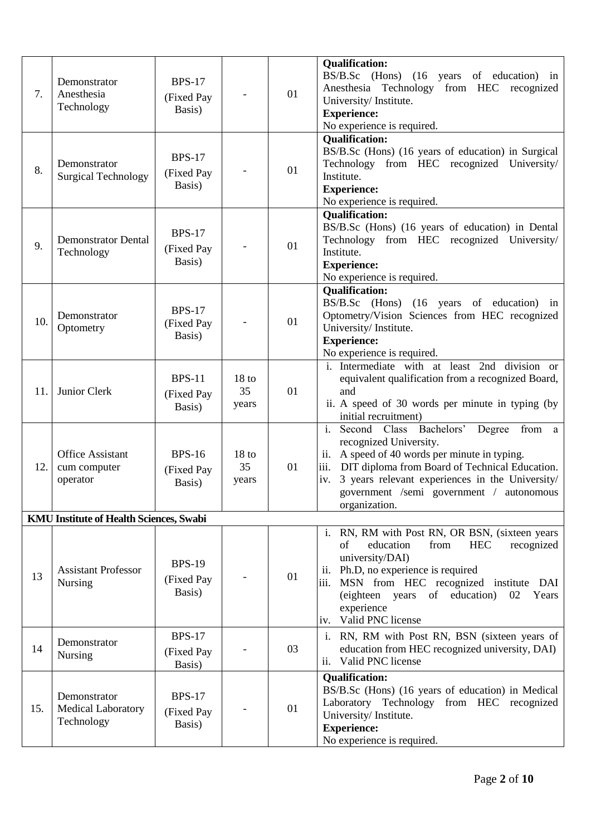| 7.  | Demonstrator<br>Anesthesia<br>Technology            | <b>BPS-17</b><br>(Fixed Pay<br>Basis) |                                 | 01 | <b>Qualification:</b><br>BS/B.Sc (Hons) (16 years of education) in<br>Anesthesia Technology from HEC recognized<br>University/Institute.<br><b>Experience:</b><br>No experience is required.                                                                                                                         |
|-----|-----------------------------------------------------|---------------------------------------|---------------------------------|----|----------------------------------------------------------------------------------------------------------------------------------------------------------------------------------------------------------------------------------------------------------------------------------------------------------------------|
| 8.  | Demonstrator<br><b>Surgical Technology</b>          | <b>BPS-17</b><br>(Fixed Pay<br>Basis) |                                 | 01 | <b>Qualification:</b><br>BS/B.Sc (Hons) (16 years of education) in Surgical<br>Technology from HEC recognized University/<br>Institute.<br><b>Experience:</b><br>No experience is required.                                                                                                                          |
| 9.  | <b>Demonstrator Dental</b><br>Technology            | <b>BPS-17</b><br>(Fixed Pay<br>Basis) |                                 | 01 | <b>Qualification:</b><br>BS/B.Sc (Hons) (16 years of education) in Dental<br>Technology from HEC recognized University/<br>Institute.<br><b>Experience:</b><br>No experience is required.                                                                                                                            |
| 10. | Demonstrator<br>Optometry                           | <b>BPS-17</b><br>(Fixed Pay<br>Basis) |                                 | 01 | <b>Qualification:</b><br>BS/B.Sc (Hons) (16 years of education) in<br>Optometry/Vision Sciences from HEC recognized<br>University/Institute.<br><b>Experience:</b><br>No experience is required.                                                                                                                     |
| 11. | Junior Clerk                                        | <b>BPS-11</b><br>(Fixed Pay<br>Basis) | 18 <sub>to</sub><br>35<br>years | 01 | i. Intermediate with at least 2nd division or<br>equivalent qualification from a recognized Board,<br>and<br>ii. A speed of 30 words per minute in typing (by<br>initial recruitment)                                                                                                                                |
| 12. | <b>Office Assistant</b><br>cum computer<br>operator | <b>BPS-16</b><br>(Fixed Pay<br>Basis) | 18 <sub>to</sub><br>35<br>years | 01 | i. Second Class Bachelors' Degree from a<br>recognized University.<br>ii.<br>A speed of 40 words per minute in typing.<br>DIT diploma from Board of Technical Education.<br>iii.<br>3 years relevant experiences in the University/<br>iv.<br>government /semi government / autonomous<br>organization.              |
|     | <b>KMU Institute of Health Sciences, Swabi</b>      |                                       |                                 |    |                                                                                                                                                                                                                                                                                                                      |
| 13  | <b>Assistant Professor</b><br>Nursing               | <b>BPS-19</b><br>(Fixed Pay<br>Basis) |                                 | 01 | RN, RM with Post RN, OR BSN, (sixteen years<br>i.<br>education<br><b>HEC</b><br>of<br>from<br>recognized<br>university/DAI)<br>ii.<br>Ph.D, no experience is required<br>MSN from HEC recognized institute DAI<br>iii.<br>of education)<br>(eighteen years)<br>02<br>Years<br>experience<br>Valid PNC license<br>iv. |
| 14  | Demonstrator<br><b>Nursing</b>                      | <b>BPS-17</b><br>(Fixed Pay<br>Basis) |                                 | 03 | RN, RM with Post RN, BSN (sixteen years of<br>i.<br>education from HEC recognized university, DAI)<br>Valid PNC license<br>ii.                                                                                                                                                                                       |
| 15. | Demonstrator<br>Medical Laboratory<br>Technology    | <b>BPS-17</b><br>(Fixed Pay<br>Basis) |                                 | 01 | <b>Qualification:</b><br>BS/B.Sc (Hons) (16 years of education) in Medical<br>Laboratory Technology from HEC recognized<br>University/Institute.<br><b>Experience:</b><br>No experience is required.                                                                                                                 |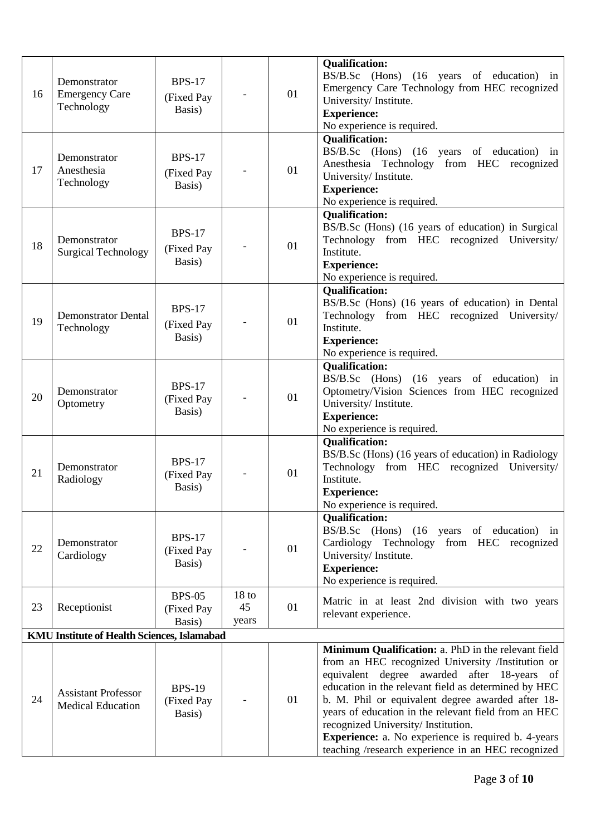| 16 | Demonstrator<br><b>Emergency Care</b><br>Technology    | <b>BPS-17</b><br>(Fixed Pay<br>Basis) |                                 | 01 | <b>Qualification:</b><br>BS/B.Sc (Hons) (16 years of education) in<br>Emergency Care Technology from HEC recognized<br>University/Institute.<br><b>Experience:</b><br>No experience is required.                                                                                                                                                                                                                                                                                        |
|----|--------------------------------------------------------|---------------------------------------|---------------------------------|----|-----------------------------------------------------------------------------------------------------------------------------------------------------------------------------------------------------------------------------------------------------------------------------------------------------------------------------------------------------------------------------------------------------------------------------------------------------------------------------------------|
| 17 | Demonstrator<br>Anesthesia<br>Technology               | <b>BPS-17</b><br>(Fixed Pay<br>Basis) |                                 | 01 | <b>Qualification:</b><br>BS/B.Sc (Hons) (16 years of education) in<br>Anesthesia Technology from HEC recognized<br>University/Institute.<br><b>Experience:</b><br>No experience is required.                                                                                                                                                                                                                                                                                            |
| 18 | Demonstrator<br><b>Surgical Technology</b>             | <b>BPS-17</b><br>(Fixed Pay<br>Basis) |                                 | 01 | <b>Qualification:</b><br>BS/B.Sc (Hons) (16 years of education) in Surgical<br>Technology from HEC recognized University/<br>Institute.<br><b>Experience:</b><br>No experience is required.                                                                                                                                                                                                                                                                                             |
| 19 | <b>Demonstrator Dental</b><br>Technology               | <b>BPS-17</b><br>(Fixed Pay<br>Basis) |                                 | 01 | <b>Qualification:</b><br>BS/B.Sc (Hons) (16 years of education) in Dental<br>Technology from HEC recognized University/<br>Institute.<br><b>Experience:</b><br>No experience is required.                                                                                                                                                                                                                                                                                               |
| 20 | Demonstrator<br>Optometry                              | <b>BPS-17</b><br>(Fixed Pay<br>Basis) |                                 | 01 | <b>Qualification:</b><br>BS/B.Sc (Hons) (16 years of education) in<br>Optometry/Vision Sciences from HEC recognized<br>University/Institute.<br><b>Experience:</b><br>No experience is required.                                                                                                                                                                                                                                                                                        |
| 21 | Demonstrator<br>Radiology                              | <b>BPS-17</b><br>(Fixed Pay<br>Basis) |                                 | 01 | <b>Qualification:</b><br>BS/B.Sc (Hons) (16 years of education) in Radiology<br>Technology from HEC recognized University/<br>Institute.<br><b>Experience:</b><br>No experience is required.                                                                                                                                                                                                                                                                                            |
| 22 | Demonstrator<br>Cardiology                             | <b>BPS-17</b><br>(Fixed Pay<br>Basis) |                                 | 01 | <b>Qualification:</b><br>BS/B.Sc (Hons) (16 years of education) in<br>Cardiology Technology from HEC recognized<br>University/Institute.<br><b>Experience:</b><br>No experience is required.                                                                                                                                                                                                                                                                                            |
| 23 | Receptionist                                           | <b>BPS-05</b><br>(Fixed Pay<br>Basis) | 18 <sub>to</sub><br>45<br>years | 01 | Matric in at least 2nd division with two years<br>relevant experience.                                                                                                                                                                                                                                                                                                                                                                                                                  |
|    | <b>KMU Institute of Health Sciences, Islamabad</b>     |                                       |                                 |    |                                                                                                                                                                                                                                                                                                                                                                                                                                                                                         |
| 24 | <b>Assistant Professor</b><br><b>Medical Education</b> | <b>BPS-19</b><br>(Fixed Pay<br>Basis) |                                 | 01 | Minimum Qualification: a. PhD in the relevant field<br>from an HEC recognized University /Institution or<br>equivalent degree awarded after 18-years of<br>education in the relevant field as determined by HEC<br>b. M. Phil or equivalent degree awarded after 18-<br>years of education in the relevant field from an HEC<br>recognized University/ Institution.<br><b>Experience:</b> a. No experience is required b. 4-years<br>teaching /research experience in an HEC recognized |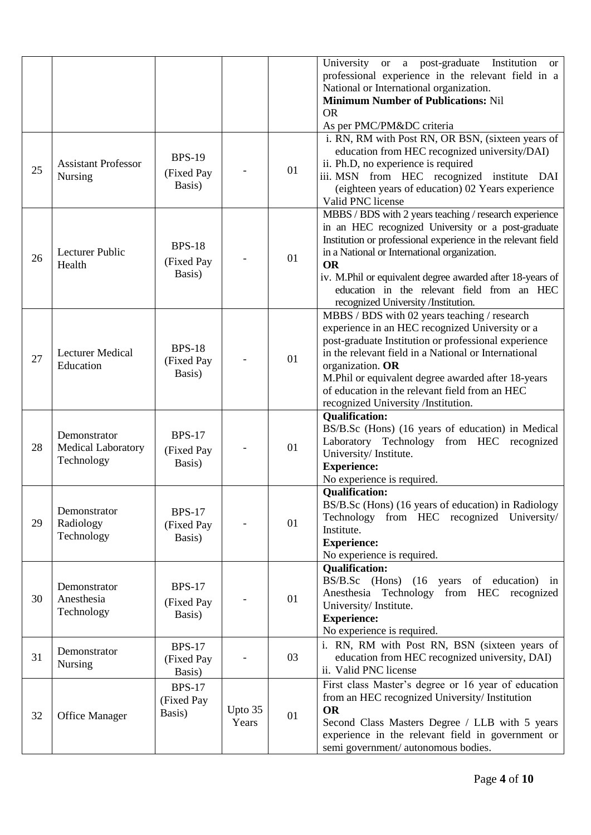|    |                                                  |                                       |                  |    | University or a post-graduate Institution<br><b>or</b><br>professional experience in the relevant field in a<br>National or International organization.<br><b>Minimum Number of Publications: Nil</b><br><b>OR</b><br>As per PMC/PM&DC criteria                                                                                                                                              |
|----|--------------------------------------------------|---------------------------------------|------------------|----|----------------------------------------------------------------------------------------------------------------------------------------------------------------------------------------------------------------------------------------------------------------------------------------------------------------------------------------------------------------------------------------------|
| 25 | <b>Assistant Professor</b><br>Nursing            | <b>BPS-19</b><br>(Fixed Pay<br>Basis) |                  | 01 | i. RN, RM with Post RN, OR BSN, (sixteen years of<br>education from HEC recognized university/DAI)<br>ii. Ph.D, no experience is required<br>iii. MSN from HEC recognized institute DAI<br>(eighteen years of education) 02 Years experience<br>Valid PNC license                                                                                                                            |
| 26 | Lecturer Public<br>Health                        | <b>BPS-18</b><br>(Fixed Pay<br>Basis) |                  | 01 | MBBS / BDS with 2 years teaching / research experience<br>in an HEC recognized University or a post-graduate<br>Institution or professional experience in the relevant field<br>in a National or International organization.<br><b>OR</b><br>iv. M.Phil or equivalent degree awarded after 18-years of<br>education in the relevant field from an HEC<br>recognized University /Institution. |
| 27 | <b>Lecturer Medical</b><br>Education             | <b>BPS-18</b><br>(Fixed Pay<br>Basis) |                  | 01 | MBBS / BDS with 02 years teaching / research<br>experience in an HEC recognized University or a<br>post-graduate Institution or professional experience<br>in the relevant field in a National or International<br>organization. OR<br>M.Phil or equivalent degree awarded after 18-years<br>of education in the relevant field from an HEC<br>recognized University /Institution.           |
| 28 | Demonstrator<br>Medical Laboratory<br>Technology | <b>BPS-17</b><br>(Fixed Pay<br>Basis) |                  | 01 | <b>Qualification:</b><br>BS/B.Sc (Hons) (16 years of education) in Medical<br>Laboratory Technology from HEC recognized<br>University/Institute.<br><b>Experience:</b><br>No experience is required.                                                                                                                                                                                         |
| 29 | Demonstrator<br>Radiology<br>Technology          | <b>BPS-17</b><br>(Fixed Pay<br>Basis) |                  | 01 | <b>Qualification:</b><br>BS/B.Sc (Hons) (16 years of education) in Radiology<br>Technology from HEC recognized University<br>Institute.<br><b>Experience:</b><br>No experience is required.                                                                                                                                                                                                  |
| 30 | Demonstrator<br>Anesthesia<br>Technology         | <b>BPS-17</b><br>(Fixed Pay<br>Basis) |                  | 01 | <b>Qualification:</b><br>BS/B.Sc (Hons) (16 years of education) in<br>Anesthesia Technology from HEC recognized<br>University/Institute.<br><b>Experience:</b><br>No experience is required.                                                                                                                                                                                                 |
| 31 | Demonstrator<br><b>Nursing</b>                   | <b>BPS-17</b><br>(Fixed Pay<br>Basis) |                  | 03 | i. RN, RM with Post RN, BSN (sixteen years of<br>education from HEC recognized university, DAI)<br>ii. Valid PNC license                                                                                                                                                                                                                                                                     |
| 32 | <b>Office Manager</b>                            | <b>BPS-17</b><br>(Fixed Pay<br>Basis) | Upto 35<br>Years | 01 | First class Master's degree or 16 year of education<br>from an HEC recognized University/ Institution<br><b>OR</b><br>Second Class Masters Degree / LLB with 5 years<br>experience in the relevant field in government or<br>semi government/ autonomous bodies.                                                                                                                             |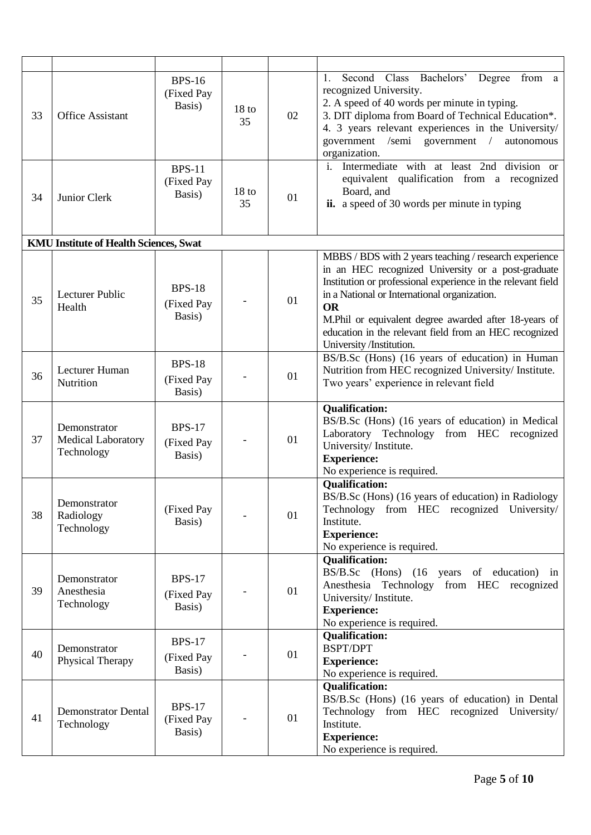| 33 | <b>Office Assistant</b>                                 | <b>BPS-16</b><br>(Fixed Pay<br>Basis) | 18 <sub>to</sub><br>35 | 02 | Second Class<br>Bachelors' Degree<br>from a<br>1.<br>recognized University.<br>2. A speed of 40 words per minute in typing.<br>3. DIT diploma from Board of Technical Education*.<br>4. 3 years relevant experiences in the University/<br>government /semi government<br>$\sqrt{2}$<br>autonomous<br>organization.                                                              |
|----|---------------------------------------------------------|---------------------------------------|------------------------|----|----------------------------------------------------------------------------------------------------------------------------------------------------------------------------------------------------------------------------------------------------------------------------------------------------------------------------------------------------------------------------------|
| 34 | Junior Clerk                                            | <b>BPS-11</b><br>(Fixed Pay<br>Basis) | 18 <sub>to</sub><br>35 | 01 | i. Intermediate with at least 2nd division or<br>equivalent qualification from a recognized<br>Board, and<br>ii. a speed of 30 words per minute in typing                                                                                                                                                                                                                        |
|    | <b>KMU Institute of Health Sciences, Swat</b>           |                                       |                        |    |                                                                                                                                                                                                                                                                                                                                                                                  |
| 35 | Lecturer Public<br>Health                               | <b>BPS-18</b><br>(Fixed Pay<br>Basis) |                        | 01 | MBBS / BDS with 2 years teaching / research experience<br>in an HEC recognized University or a post-graduate<br>Institution or professional experience in the relevant field<br>in a National or International organization.<br>OR<br>M.Phil or equivalent degree awarded after 18-years of<br>education in the relevant field from an HEC recognized<br>University/Institution. |
| 36 | Lecturer Human<br>Nutrition                             | <b>BPS-18</b><br>(Fixed Pay<br>Basis) |                        | 01 | BS/B.Sc (Hons) (16 years of education) in Human<br>Nutrition from HEC recognized University/ Institute.<br>Two years' experience in relevant field                                                                                                                                                                                                                               |
| 37 | Demonstrator<br><b>Medical Laboratory</b><br>Technology | <b>BPS-17</b><br>(Fixed Pay<br>Basis) |                        | 01 | <b>Qualification:</b><br>BS/B.Sc (Hons) (16 years of education) in Medical<br>Laboratory Technology from HEC recognized<br>University/Institute.<br><b>Experience:</b><br>No experience is required.                                                                                                                                                                             |
| 38 | Demonstrator<br>Radiology<br>Technology                 | (Fixed Pay<br>Basis)                  |                        | 01 | <b>Qualification:</b><br>BS/B.Sc (Hons) (16 years of education) in Radiology<br>Technology from HEC recognized University/<br>Institute.<br><b>Experience:</b><br>No experience is required.                                                                                                                                                                                     |
| 39 | Demonstrator<br>Anesthesia<br>Technology                | <b>BPS-17</b><br>(Fixed Pay<br>Basis) |                        | 01 | <b>Qualification:</b><br>BS/B.Sc (Hons) (16 years of education) in<br>Anesthesia Technology from HEC recognized<br>University/Institute.<br><b>Experience:</b><br>No experience is required.                                                                                                                                                                                     |
| 40 | Demonstrator<br>Physical Therapy                        | <b>BPS-17</b><br>(Fixed Pay<br>Basis) |                        | 01 | <b>Qualification:</b><br><b>BSPT/DPT</b><br><b>Experience:</b><br>No experience is required.                                                                                                                                                                                                                                                                                     |
| 41 | <b>Demonstrator Dental</b><br>Technology                | <b>BPS-17</b><br>(Fixed Pay<br>Basis) |                        | 01 | <b>Qualification:</b><br>BS/B.Sc (Hons) (16 years of education) in Dental<br>Technology from HEC recognized University/<br>Institute.<br><b>Experience:</b><br>No experience is required.                                                                                                                                                                                        |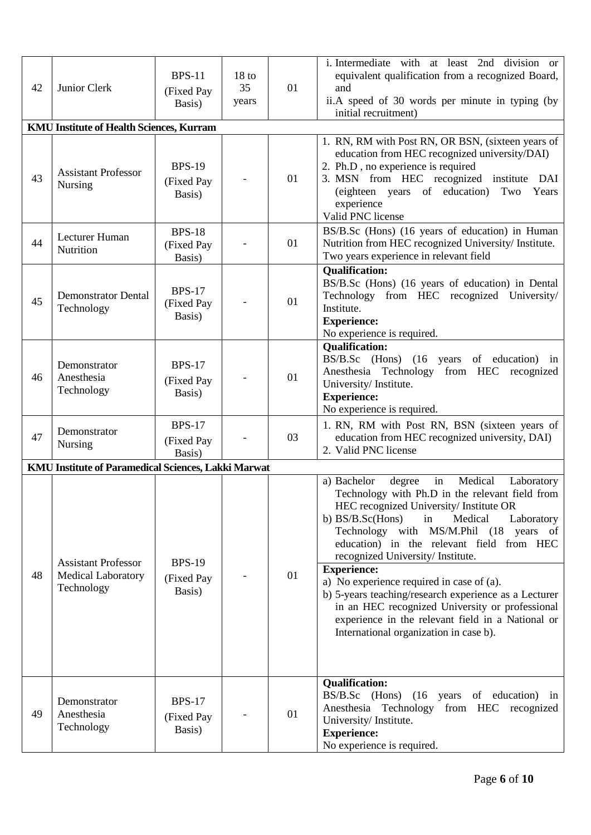| 42 | Junior Clerk                                        | <b>BPS-11</b><br>(Fixed Pay<br>Basis) | 18 <sub>to</sub><br>35<br>years | 01 | i. Intermediate with at least 2nd division or<br>equivalent qualification from a recognized Board,<br>and<br>ii.A speed of 30 words per minute in typing (by<br>initial recruitment)                                                                                                                                                                                       |
|----|-----------------------------------------------------|---------------------------------------|---------------------------------|----|----------------------------------------------------------------------------------------------------------------------------------------------------------------------------------------------------------------------------------------------------------------------------------------------------------------------------------------------------------------------------|
|    | <b>KMU Institute of Health Sciences, Kurram</b>     |                                       |                                 |    |                                                                                                                                                                                                                                                                                                                                                                            |
| 43 | <b>Assistant Professor</b><br>Nursing               | <b>BPS-19</b><br>(Fixed Pay<br>Basis) |                                 | 01 | 1. RN, RM with Post RN, OR BSN, (sixteen years of<br>education from HEC recognized university/DAI)<br>2. Ph.D, no experience is required<br>3. MSN from HEC recognized institute DAI<br>(eighteen years of education) Two<br>Years<br>experience<br>Valid PNC license                                                                                                      |
| 44 | Lecturer Human<br>Nutrition                         | <b>BPS-18</b><br>(Fixed Pay<br>Basis) |                                 | 01 | BS/B.Sc (Hons) (16 years of education) in Human<br>Nutrition from HEC recognized University/ Institute.<br>Two years experience in relevant field                                                                                                                                                                                                                          |
| 45 | <b>Demonstrator Dental</b><br>Technology            | <b>BPS-17</b><br>(Fixed Pay<br>Basis) |                                 | 01 | <b>Oualification:</b><br>BS/B.Sc (Hons) (16 years of education) in Dental<br>Technology from HEC recognized University/<br>Institute.<br><b>Experience:</b><br>No experience is required.                                                                                                                                                                                  |
| 46 | Demonstrator<br>Anesthesia<br>Technology            | <b>BPS-17</b><br>(Fixed Pay<br>Basis) |                                 | 01 | <b>Qualification:</b><br>BS/B.Sc (Hons) (16 years<br>of education) in<br>Anesthesia Technology from HEC recognized<br>University/Institute.<br><b>Experience:</b><br>No experience is required.                                                                                                                                                                            |
| 47 | Demonstrator<br>Nursing                             | <b>BPS-17</b><br>(Fixed Pay<br>Basis) |                                 | 03 | 1. RN, RM with Post RN, BSN (sixteen years of<br>education from HEC recognized university, DAI)<br>2. Valid PNC license                                                                                                                                                                                                                                                    |
|    | KMU Institute of Paramedical Sciences, Lakki Marwat |                                       |                                 |    |                                                                                                                                                                                                                                                                                                                                                                            |
|    | <b>Assistant Professor</b>                          | <b>BPS-19</b>                         |                                 |    | $\operatorname{in}$<br>Medical<br>a) Bachelor<br>degree<br>Laboratory<br>Technology with Ph.D in the relevant field from<br>HEC recognized University/ Institute OR<br>b) $BS/B.Sc(Hons)$<br>Medical<br>in<br>Laboratory<br>Technology with MS/M.Phil (18 years of<br>education) in the relevant field from HEC<br>recognized University/ Institute.<br><b>Experience:</b> |
| 48 | <b>Medical Laboratory</b><br>Technology             | (Fixed Pay<br>Basis)                  |                                 | 01 | a) No experience required in case of (a).<br>b) 5-years teaching/research experience as a Lecturer<br>in an HEC recognized University or professional<br>experience in the relevant field in a National or<br>International organization in case b).                                                                                                                       |
| 49 | Demonstrator<br>Anesthesia<br>Technology            | <b>BPS-17</b><br>(Fixed Pay<br>Basis) |                                 | 01 | <b>Qualification:</b><br>$BS/B.Sc$ (Hons)<br>(16 years of education) in<br>Anesthesia Technology from HEC recognized<br>University/Institute.<br><b>Experience:</b><br>No experience is required.                                                                                                                                                                          |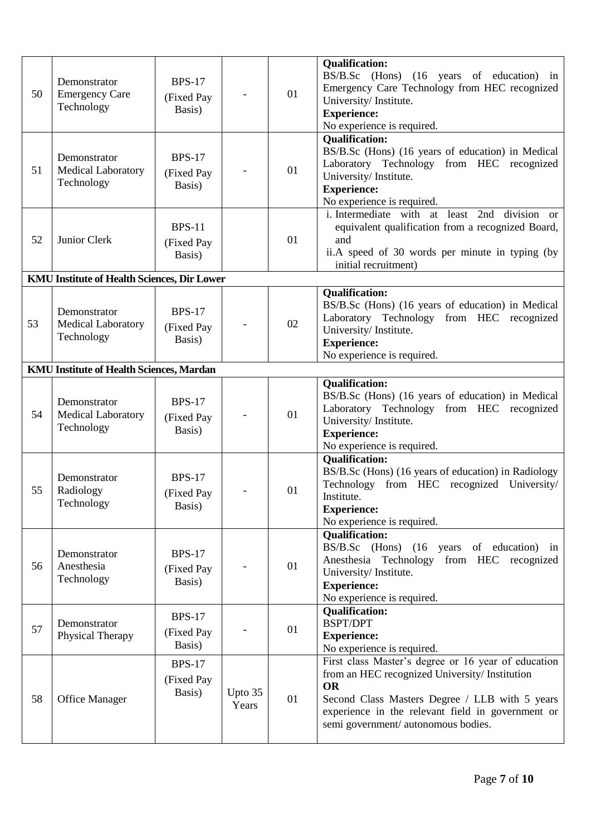| 50 | Demonstrator<br><b>Emergency Care</b><br>Technology | <b>BPS-17</b><br>(Fixed Pay<br>Basis)  |                  | 01 | <b>Qualification:</b><br>BS/B.Sc (Hons) (16 years of education) in<br>Emergency Care Technology from HEC recognized<br>University/Institute.<br><b>Experience:</b><br>No experience is required.                                                                 |
|----|-----------------------------------------------------|----------------------------------------|------------------|----|------------------------------------------------------------------------------------------------------------------------------------------------------------------------------------------------------------------------------------------------------------------|
| 51 | Demonstrator<br>Medical Laboratory<br>Technology    | <b>BPS-17</b><br>(Fixed Pay<br>Basis)  |                  | 01 | <b>Qualification:</b><br>BS/B.Sc (Hons) (16 years of education) in Medical<br>Laboratory Technology from HEC recognized<br>University/Institute.<br><b>Experience:</b><br>No experience is required.                                                             |
| 52 | Junior Clerk                                        | <b>BPS-11</b><br>(Fixed Pay<br>Basis)  |                  | 01 | i. Intermediate with at least 2nd division or<br>equivalent qualification from a recognized Board,<br>and<br>ii.A speed of 30 words per minute in typing (by<br>initial recruitment)                                                                             |
|    | <b>KMU Institute of Health Sciences, Dir Lower</b>  |                                        |                  |    |                                                                                                                                                                                                                                                                  |
| 53 | Demonstrator<br>Medical Laboratory<br>Technology    | <b>BPS-17</b><br>(Fixed Pay<br>Basis)  |                  | 02 | <b>Qualification:</b><br>BS/B.Sc (Hons) (16 years of education) in Medical<br>Laboratory Technology from HEC recognized<br>University/Institute.<br><b>Experience:</b><br>No experience is required.                                                             |
|    | <b>KMU Institute of Health Sciences, Mardan</b>     |                                        |                  |    |                                                                                                                                                                                                                                                                  |
| 54 | Demonstrator<br>Medical Laboratory<br>Technology    | <b>BPS-17</b><br>(Fixed Pay<br>Basis)  |                  | 01 | <b>Qualification:</b><br>BS/B.Sc (Hons) (16 years of education) in Medical<br>Laboratory Technology from HEC recognized<br>University/Institute.<br><b>Experience:</b><br>No experience is required.                                                             |
| 55 | Demonstrator<br>Radiology<br>Technology             | <b>BPS-17</b><br>(Fixed Pay<br>Basis)  |                  | 01 | <b>Qualification:</b><br>BS/B.Sc (Hons) (16 years of education) in Radiology<br>Technology from HEC recognized University/<br>Institute.<br><b>Experience:</b><br>No experience is required.                                                                     |
| 56 | Demonstrator<br>Anesthesia<br>Technology            | <b>BPS-17</b><br>(Fixed Pay<br>Basis)  |                  | 01 | <b>Qualification:</b><br>BS/B.Sc (Hons) (16 years of education) in<br>Anesthesia Technology from HEC recognized<br>University/Institute.<br><b>Experience:</b><br>No experience is required.                                                                     |
| 57 | Demonstrator<br>Physical Therapy                    | <b>BPS-17</b><br>(Fixed Pay<br>Basis)  |                  | 01 | <b>Qualification:</b><br><b>BSPT/DPT</b><br><b>Experience:</b><br>No experience is required.                                                                                                                                                                     |
| 58 | <b>Office Manager</b>                               | <b>BPS-17</b><br>(Fixed Pay)<br>Basis) | Upto 35<br>Years | 01 | First class Master's degree or 16 year of education<br>from an HEC recognized University/ Institution<br><b>OR</b><br>Second Class Masters Degree / LLB with 5 years<br>experience in the relevant field in government or<br>semi government/ autonomous bodies. |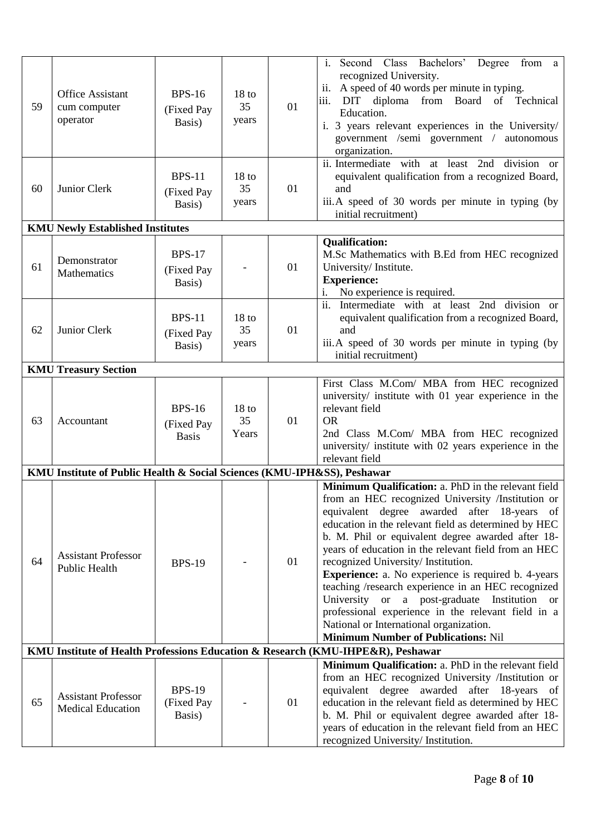| 59 | <b>Office Assistant</b><br>cum computer<br>operator                     | <b>BPS-16</b><br>(Fixed Pay<br>Basis)       | 18 <sub>to</sub><br>35<br>years | 01 | i. Second Class Bachelors' Degree<br>from a<br>recognized University.<br>ii.<br>A speed of 40 words per minute in typing.<br>DIT diploma from Board of Technical<br>iii.<br>Education.<br>i. 3 years relevant experiences in the University/<br>government /semi government / autonomous<br>organization.                                                                                                                                                                                                                                                                                                                                                                              |
|----|-------------------------------------------------------------------------|---------------------------------------------|---------------------------------|----|----------------------------------------------------------------------------------------------------------------------------------------------------------------------------------------------------------------------------------------------------------------------------------------------------------------------------------------------------------------------------------------------------------------------------------------------------------------------------------------------------------------------------------------------------------------------------------------------------------------------------------------------------------------------------------------|
| 60 | Junior Clerk                                                            | <b>BPS-11</b><br>(Fixed Pay<br>Basis)       | 18 <sub>to</sub><br>35<br>years | 01 | ii. Intermediate with at least 2nd division or<br>equivalent qualification from a recognized Board,<br>and<br>iii.A speed of 30 words per minute in typing (by<br>initial recruitment)                                                                                                                                                                                                                                                                                                                                                                                                                                                                                                 |
|    | <b>KMU Newly Established Institutes</b>                                 |                                             |                                 |    |                                                                                                                                                                                                                                                                                                                                                                                                                                                                                                                                                                                                                                                                                        |
| 61 | Demonstrator<br>Mathematics                                             | <b>BPS-17</b><br>(Fixed Pay<br>Basis)       |                                 | 01 | <b>Qualification:</b><br>M.Sc Mathematics with B.Ed from HEC recognized<br>University/Institute.<br><b>Experience:</b><br>No experience is required.<br>i.                                                                                                                                                                                                                                                                                                                                                                                                                                                                                                                             |
| 62 | Junior Clerk                                                            | <b>BPS-11</b><br>(Fixed Pay<br>Basis)       | 18 <sub>to</sub><br>35<br>years | 01 | ii.<br>Intermediate with at least 2nd division or<br>equivalent qualification from a recognized Board,<br>and<br>iii. A speed of 30 words per minute in typing (by<br>initial recruitment)                                                                                                                                                                                                                                                                                                                                                                                                                                                                                             |
|    | <b>KMU Treasury Section</b>                                             |                                             |                                 |    |                                                                                                                                                                                                                                                                                                                                                                                                                                                                                                                                                                                                                                                                                        |
| 63 | Accountant                                                              | <b>BPS-16</b><br>(Fixed Pay<br><b>Basis</b> | 18 <sub>to</sub><br>35<br>Years | 01 | First Class M.Com/ MBA from HEC recognized<br>university/ institute with 01 year experience in the<br>relevant field<br><b>OR</b><br>2nd Class M.Com/ MBA from HEC recognized<br>university/ institute with 02 years experience in the<br>relevant field                                                                                                                                                                                                                                                                                                                                                                                                                               |
|    | KMU Institute of Public Health & Social Sciences (KMU-IPH&SS), Peshawar |                                             |                                 |    |                                                                                                                                                                                                                                                                                                                                                                                                                                                                                                                                                                                                                                                                                        |
| 64 | <b>Assistant Professor</b><br><b>Public Health</b>                      | <b>BPS-19</b>                               |                                 | 01 | Minimum Qualification: a. PhD in the relevant field<br>from an HEC recognized University /Institution or<br>equivalent degree awarded after 18-years of<br>education in the relevant field as determined by HEC<br>b. M. Phil or equivalent degree awarded after 18-<br>years of education in the relevant field from an HEC<br>recognized University/ Institution.<br><b>Experience:</b> a. No experience is required b. 4-years<br>teaching /research experience in an HEC recognized<br>University or a post-graduate Institution or<br>professional experience in the relevant field in a<br>National or International organization.<br><b>Minimum Number of Publications: Nil</b> |
|    |                                                                         |                                             |                                 |    | KMU Institute of Health Professions Education & Research (KMU-IHPE&R), Peshawar                                                                                                                                                                                                                                                                                                                                                                                                                                                                                                                                                                                                        |
| 65 | <b>Assistant Professor</b><br><b>Medical Education</b>                  | <b>BPS-19</b><br>(Fixed Pay<br>Basis)       |                                 | 01 | Minimum Qualification: a. PhD in the relevant field<br>from an HEC recognized University /Institution or<br>equivalent degree awarded after 18-years of<br>education in the relevant field as determined by HEC<br>b. M. Phil or equivalent degree awarded after 18-<br>years of education in the relevant field from an HEC<br>recognized University/ Institution.                                                                                                                                                                                                                                                                                                                    |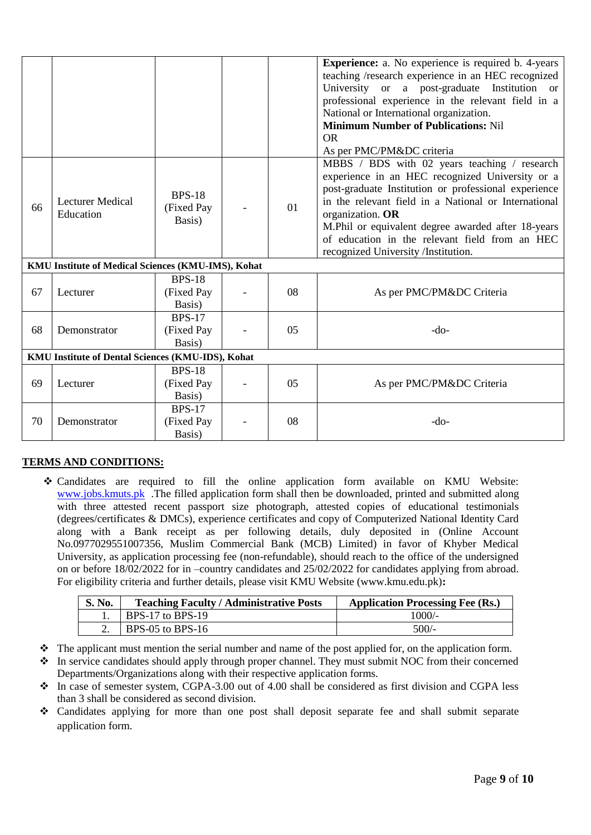|    |                                                    |                                       |    | <b>Experience:</b> a. No experience is required b. 4-years<br>teaching /research experience in an HEC recognized<br>University or a post-graduate Institution or<br>professional experience in the relevant field in a<br>National or International organization.<br><b>Minimum Number of Publications: Nil</b><br><b>OR</b><br>As per PMC/PM&DC criteria                          |
|----|----------------------------------------------------|---------------------------------------|----|------------------------------------------------------------------------------------------------------------------------------------------------------------------------------------------------------------------------------------------------------------------------------------------------------------------------------------------------------------------------------------|
| 66 | <b>Lecturer Medical</b><br>Education               | <b>BPS-18</b><br>(Fixed Pay<br>Basis) | 01 | MBBS / BDS with 02 years teaching / research<br>experience in an HEC recognized University or a<br>post-graduate Institution or professional experience<br>in the relevant field in a National or International<br>organization. OR<br>M.Phil or equivalent degree awarded after 18-years<br>of education in the relevant field from an HEC<br>recognized University /Institution. |
|    | KMU Institute of Medical Sciences (KMU-IMS), Kohat |                                       |    |                                                                                                                                                                                                                                                                                                                                                                                    |
| 67 | Lecturer                                           | <b>BPS-18</b><br>(Fixed Pay<br>Basis) | 08 | As per PMC/PM&DC Criteria                                                                                                                                                                                                                                                                                                                                                          |
| 68 | Demonstrator                                       | <b>BPS-17</b><br>(Fixed Pay<br>Basis) | 05 | $-do-$                                                                                                                                                                                                                                                                                                                                                                             |
|    | KMU Institute of Dental Sciences (KMU-IDS), Kohat  |                                       |    |                                                                                                                                                                                                                                                                                                                                                                                    |
| 69 | Lecturer                                           | <b>BPS-18</b><br>(Fixed Pay<br>Basis) | 05 | As per PMC/PM&DC Criteria                                                                                                                                                                                                                                                                                                                                                          |
| 70 | Demonstrator                                       | <b>BPS-17</b><br>(Fixed Pay<br>Basis) | 08 | $-do-$                                                                                                                                                                                                                                                                                                                                                                             |

## **TERMS AND CONDITIONS:**

 Candidates are required to fill the online application form available on KMU Website: [www.jobs.kmuts.pk](http://www.jobs.kmuts.pk/). The filled application form shall then be downloaded, printed and submitted along with three attested recent passport size photograph, attested copies of educational testimonials (degrees/certificates & DMCs), experience certificates and copy of Computerized National Identity Card along with a Bank receipt as per following details, duly deposited in (Online Account No.0977029551007356, Muslim Commercial Bank (MCB) Limited) in favor of Khyber Medical University, as application processing fee (non-refundable), should reach to the office of the undersigned on or before 18/02/2022 for in –country candidates and 25/02/2022 for candidates applying from abroad. For eligibility criteria and further details, please visit KMU Website (www.kmu.edu.pk)**:**

| <b>S. No.</b> | <b>Teaching Faculty / Administrative Posts</b> | <b>Application Processing Fee (Rs.)</b> |
|---------------|------------------------------------------------|-----------------------------------------|
|               | BPS-17 to BPS-19                               | $1000/-$                                |
|               | BPS-05 to BPS-16                               | $500/-$                                 |

- $\bullet$  The applicant must mention the serial number and name of the post applied for, on the application form.
- In service candidates should apply through proper channel. They must submit NOC from their concerned Departments/Organizations along with their respective application forms.
- In case of semester system, CGPA-3.00 out of 4.00 shall be considered as first division and CGPA less than 3 shall be considered as second division.
- Candidates applying for more than one post shall deposit separate fee and shall submit separate application form.